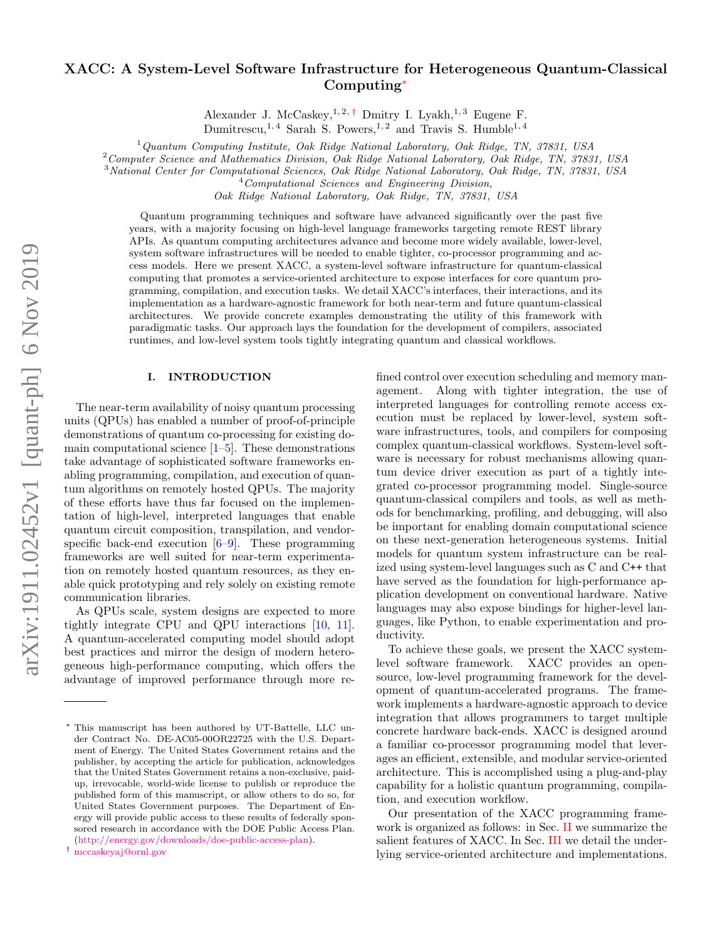# arXiv:1911.02452v1 [quant-ph] 6 Nov 2019 arXiv:1911.02452v1 [quant-ph] 6 Nov 2019

# XACC: A System-Level Software Infrastructure for Heterogeneous Quantum-Classical Computing[∗](#page-0-0)

Alexander J. McCaskey,<sup>1,2,[†](#page-0-1)</sup> Dmitry I. Lyakh,<sup>1,3</sup> Eugene F.

Dumitrescu,<sup>1, 4</sup> Sarah S. Powers,<sup>1, 2</sup> and Travis S. Humble<sup>1, 4</sup>

 $1$ Quantum Computing Institute, Oak Ridge National Laboratory, Oak Ridge, TN, 37831, USA

<sup>2</sup>Computer Science and Mathematics Division, Oak Ridge National Laboratory, Oak Ridge, TN, 37831, USA

<sup>3</sup>National Center for Computational Sciences, Oak Ridge National Laboratory, Oak Ridge, TN, 37831, USA

 $4$ Computational Sciences and Engineering Division,

Oak Ridge National Laboratory, Oak Ridge, TN, 37831, USA

Quantum programming techniques and software have advanced significantly over the past five years, with a majority focusing on high-level language frameworks targeting remote REST library APIs. As quantum computing architectures advance and become more widely available, lower-level, system software infrastructures will be needed to enable tighter, co-processor programming and access models. Here we present XACC, a system-level software infrastructure for quantum-classical computing that promotes a service-oriented architecture to expose interfaces for core quantum programming, compilation, and execution tasks. We detail XACC's interfaces, their interactions, and its implementation as a hardware-agnostic framework for both near-term and future quantum-classical architectures. We provide concrete examples demonstrating the utility of this framework with paradigmatic tasks. Our approach lays the foundation for the development of compilers, associated runtimes, and low-level system tools tightly integrating quantum and classical workflows.

# I. INTRODUCTION

The near-term availability of noisy quantum processing units (QPUs) has enabled a number of proof-of-principle demonstrations of quantum co-processing for existing domain computational science  $[1–5]$  $[1–5]$ . These demonstrations take advantage of sophisticated software frameworks enabling programming, compilation, and execution of quantum algorithms on remotely hosted QPUs. The majority of these efforts have thus far focused on the implementation of high-level, interpreted languages that enable quantum circuit composition, transpilation, and vendorspecific back-end execution  $[6-9]$  $[6-9]$ . These programming frameworks are well suited for near-term experimentation on remotely hosted quantum resources, as they enable quick prototyping and rely solely on existing remote communication libraries.

As QPUs scale, system designs are expected to more tightly integrate CPU and QPU interactions [\[10,](#page-16-4) [11\]](#page-16-5). A quantum-accelerated computing model should adopt best practices and mirror the design of modern heterogeneous high-performance computing, which offers the advantage of improved performance through more refined control over execution scheduling and memory management. Along with tighter integration, the use of interpreted languages for controlling remote access execution must be replaced by lower-level, system software infrastructures, tools, and compilers for composing complex quantum-classical workflows. System-level software is necessary for robust mechanisms allowing quantum device driver execution as part of a tightly integrated co-processor programming model. Single-source quantum-classical compilers and tools, as well as methods for benchmarking, profiling, and debugging, will also be important for enabling domain computational science on these next-generation heterogeneous systems. Initial models for quantum system infrastructure can be realized using system-level languages such as C and C++ that have served as the foundation for high-performance application development on conventional hardware. Native languages may also expose bindings for higher-level languages, like Python, to enable experimentation and productivity.

To achieve these goals, we present the XACC systemlevel software framework. XACC provides an opensource, low-level programming framework for the development of quantum-accelerated programs. The framework implements a hardware-agnostic approach to device integration that allows programmers to target multiple concrete hardware back-ends. XACC is designed around a familiar co-processor programming model that leverages an efficient, extensible, and modular service-oriented architecture. This is accomplished using a plug-and-play capability for a holistic quantum programming, compilation, and execution workflow.

Our presentation of the XACC programming framework is organized as follows: in Sec. [II](#page-1-0) we summarize the salient features of XACC. In Sec. [III](#page-1-1) we detail the underlying service-oriented architecture and implementations.

<span id="page-0-0"></span><sup>∗</sup> This manuscript has been authored by UT-Battelle, LLC under Contract No. DE-AC05-00OR22725 with the U.S. Department of Energy. The United States Government retains and the publisher, by accepting the article for publication, acknowledges that the United States Government retains a non-exclusive, paidup, irrevocable, world-wide license to publish or reproduce the published form of this manuscript, or allow others to do so, for United States Government purposes. The Department of Energy will provide public access to these results of federally sponsored research in accordance with the DOE Public Access Plan. [\(http://energy.gov/downloads/doe-public-access-plan\)](http://energy.gov/downloads/doe-public-access-plan).

<span id="page-0-1"></span><sup>†</sup> [mccaskeyaj@ornl.gov](mailto:mccaskeyaj@ornl.gov)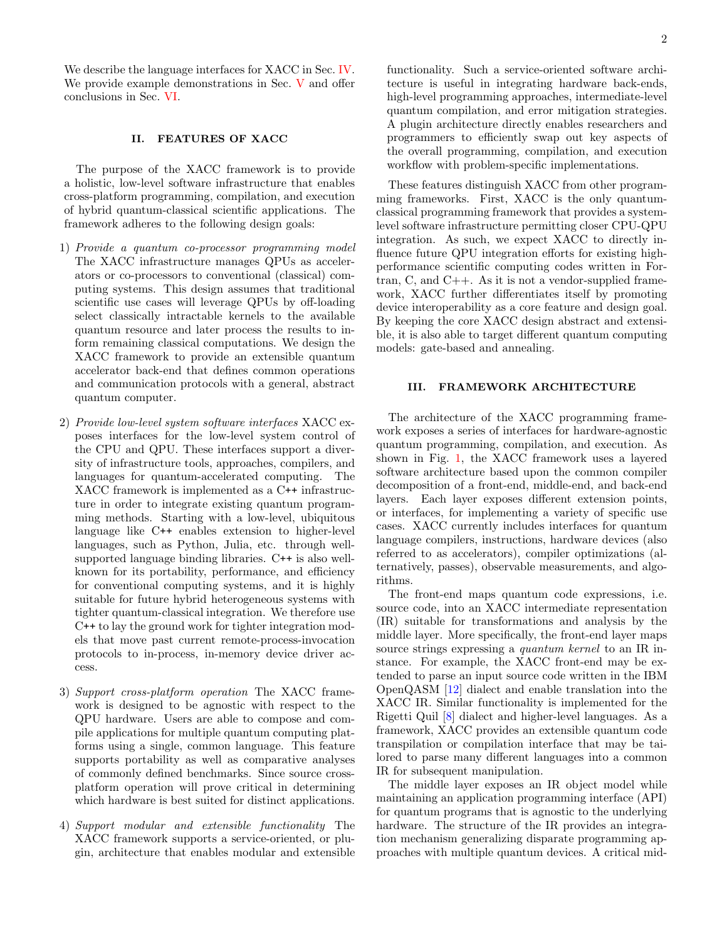We describe the language interfaces for XACC in Sec. [IV.](#page-10-0) We provide example demonstrations in Sec. [V](#page-12-0) and offer conclusions in Sec. [VI.](#page-15-0)

# <span id="page-1-0"></span>II. FEATURES OF XACC

The purpose of the XACC framework is to provide a holistic, low-level software infrastructure that enables cross-platform programming, compilation, and execution of hybrid quantum-classical scientific applications. The framework adheres to the following design goals:

- 1) Provide a quantum co-processor programming model The XACC infrastructure manages QPUs as accelerators or co-processors to conventional (classical) computing systems. This design assumes that traditional scientific use cases will leverage QPUs by off-loading select classically intractable kernels to the available quantum resource and later process the results to inform remaining classical computations. We design the XACC framework to provide an extensible quantum accelerator back-end that defines common operations and communication protocols with a general, abstract quantum computer.
- 2) Provide low-level system software interfaces XACC exposes interfaces for the low-level system control of the CPU and QPU. These interfaces support a diversity of infrastructure tools, approaches, compilers, and languages for quantum-accelerated computing. The XACC framework is implemented as a C++ infrastructure in order to integrate existing quantum programming methods. Starting with a low-level, ubiquitous language like C++ enables extension to higher-level languages, such as Python, Julia, etc. through wellsupported language binding libraries. C++ is also wellknown for its portability, performance, and efficiency for conventional computing systems, and it is highly suitable for future hybrid heterogeneous systems with tighter quantum-classical integration. We therefore use C++ to lay the ground work for tighter integration models that move past current remote-process-invocation protocols to in-process, in-memory device driver access.
- 3) Support cross-platform operation The XACC framework is designed to be agnostic with respect to the QPU hardware. Users are able to compose and compile applications for multiple quantum computing platforms using a single, common language. This feature supports portability as well as comparative analyses of commonly defined benchmarks. Since source crossplatform operation will prove critical in determining which hardware is best suited for distinct applications.
- 4) Support modular and extensible functionality The XACC framework supports a service-oriented, or plugin, architecture that enables modular and extensible

functionality. Such a service-oriented software architecture is useful in integrating hardware back-ends, high-level programming approaches, intermediate-level quantum compilation, and error mitigation strategies. A plugin architecture directly enables researchers and programmers to efficiently swap out key aspects of the overall programming, compilation, and execution workflow with problem-specific implementations.

These features distinguish XACC from other programming frameworks. First, XACC is the only quantumclassical programming framework that provides a systemlevel software infrastructure permitting closer CPU-QPU integration. As such, we expect XACC to directly influence future QPU integration efforts for existing highperformance scientific computing codes written in Fortran, C, and C++. As it is not a vendor-supplied framework, XACC further differentiates itself by promoting device interoperability as a core feature and design goal. By keeping the core XACC design abstract and extensible, it is also able to target different quantum computing models: gate-based and annealing.

#### <span id="page-1-1"></span>III. FRAMEWORK ARCHITECTURE

The architecture of the XACC programming framework exposes a series of interfaces for hardware-agnostic quantum programming, compilation, and execution. As shown in Fig. [1,](#page-2-0) the XACC framework uses a layered software architecture based upon the common compiler decomposition of a front-end, middle-end, and back-end layers. Each layer exposes different extension points, or interfaces, for implementing a variety of specific use cases. XACC currently includes interfaces for quantum language compilers, instructions, hardware devices (also referred to as accelerators), compiler optimizations (alternatively, passes), observable measurements, and algorithms.

The front-end maps quantum code expressions, i.e. source code, into an XACC intermediate representation (IR) suitable for transformations and analysis by the middle layer. More specifically, the front-end layer maps source strings expressing a quantum kernel to an IR instance. For example, the XACC front-end may be extended to parse an input source code written in the IBM OpenQASM [\[12\]](#page-16-6) dialect and enable translation into the XACC IR. Similar functionality is implemented for the Rigetti Quil [\[8\]](#page-16-7) dialect and higher-level languages. As a framework, XACC provides an extensible quantum code transpilation or compilation interface that may be tailored to parse many different languages into a common IR for subsequent manipulation.

The middle layer exposes an IR object model while maintaining an application programming interface (API) for quantum programs that is agnostic to the underlying hardware. The structure of the IR provides an integration mechanism generalizing disparate programming approaches with multiple quantum devices. A critical mid-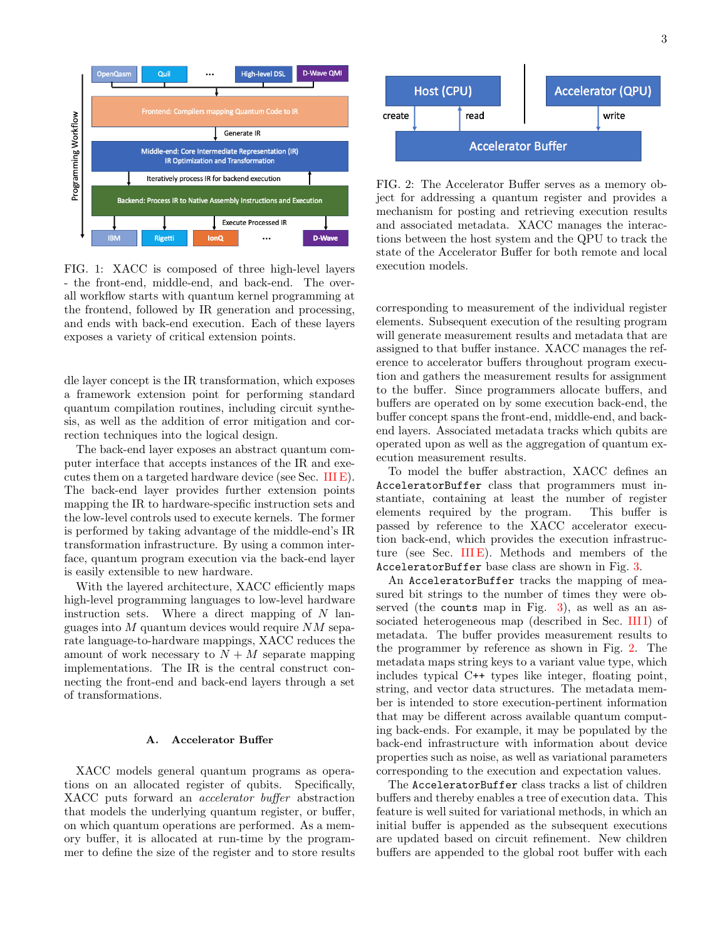<span id="page-2-0"></span>

FIG. 1: XACC is composed of three high-level layers - the front-end, middle-end, and back-end. The overall workflow starts with quantum kernel programming at the frontend, followed by IR generation and processing, and ends with back-end execution. Each of these layers exposes a variety of critical extension points.

dle layer concept is the IR transformation, which exposes a framework extension point for performing standard quantum compilation routines, including circuit synthesis, as well as the addition of error mitigation and correction techniques into the logical design.

The back-end layer exposes an abstract quantum computer interface that accepts instances of the IR and executes them on a targeted hardware device (see Sec. [III E\)](#page-6-0). The back-end layer provides further extension points mapping the IR to hardware-specific instruction sets and the low-level controls used to execute kernels. The former is performed by taking advantage of the middle-end's IR transformation infrastructure. By using a common interface, quantum program execution via the back-end layer is easily extensible to new hardware.

With the layered architecture, XACC efficiently maps high-level programming languages to low-level hardware instruction sets. Where a direct mapping of  $N$  languages into  $M$  quantum devices would require  $NM$  separate language-to-hardware mappings, XACC reduces the amount of work necessary to  $N + M$  separate mapping implementations. The IR is the central construct connecting the front-end and back-end layers through a set of transformations.

#### A. Accelerator Buffer

XACC models general quantum programs as operations on an allocated register of qubits. Specifically, XACC puts forward an accelerator buffer abstraction that models the underlying quantum register, or buffer, on which quantum operations are performed. As a memory buffer, it is allocated at run-time by the programmer to define the size of the register and to store results

<span id="page-2-1"></span>

FIG. 2: The Accelerator Buffer serves as a memory object for addressing a quantum register and provides a mechanism for posting and retrieving execution results and associated metadata. XACC manages the interactions between the host system and the QPU to track the state of the Accelerator Buffer for both remote and local execution models.

corresponding to measurement of the individual register elements. Subsequent execution of the resulting program will generate measurement results and metadata that are assigned to that buffer instance. XACC manages the reference to accelerator buffers throughout program execution and gathers the measurement results for assignment to the buffer. Since programmers allocate buffers, and buffers are operated on by some execution back-end, the buffer concept spans the front-end, middle-end, and backend layers. Associated metadata tracks which qubits are operated upon as well as the aggregation of quantum execution measurement results.

To model the buffer abstraction, XACC defines an AcceleratorBuffer class that programmers must instantiate, containing at least the number of register elements required by the program. This buffer is passed by reference to the XACC accelerator execution back-end, which provides the execution infrastruc-ture (see Sec. [III E\)](#page-6-0). Methods and members of the AcceleratorBuffer base class are shown in Fig. [3.](#page-3-0)

An AcceleratorBuffer tracks the mapping of measured bit strings to the number of times they were observed (the counts map in Fig. [3\)](#page-3-0), as well as an associated heterogeneous map (described in Sec. IIII) of metadata. The buffer provides measurement results to the programmer by reference as shown in Fig. [2.](#page-2-1) The metadata maps string keys to a variant value type, which includes typical C++ types like integer, floating point, string, and vector data structures. The metadata member is intended to store execution-pertinent information that may be different across available quantum computing back-ends. For example, it may be populated by the back-end infrastructure with information about device properties such as noise, as well as variational parameters corresponding to the execution and expectation values.

The AcceleratorBuffer class tracks a list of children buffers and thereby enables a tree of execution data. This feature is well suited for variational methods, in which an initial buffer is appended as the subsequent executions are updated based on circuit refinement. New children buffers are appended to the global root buffer with each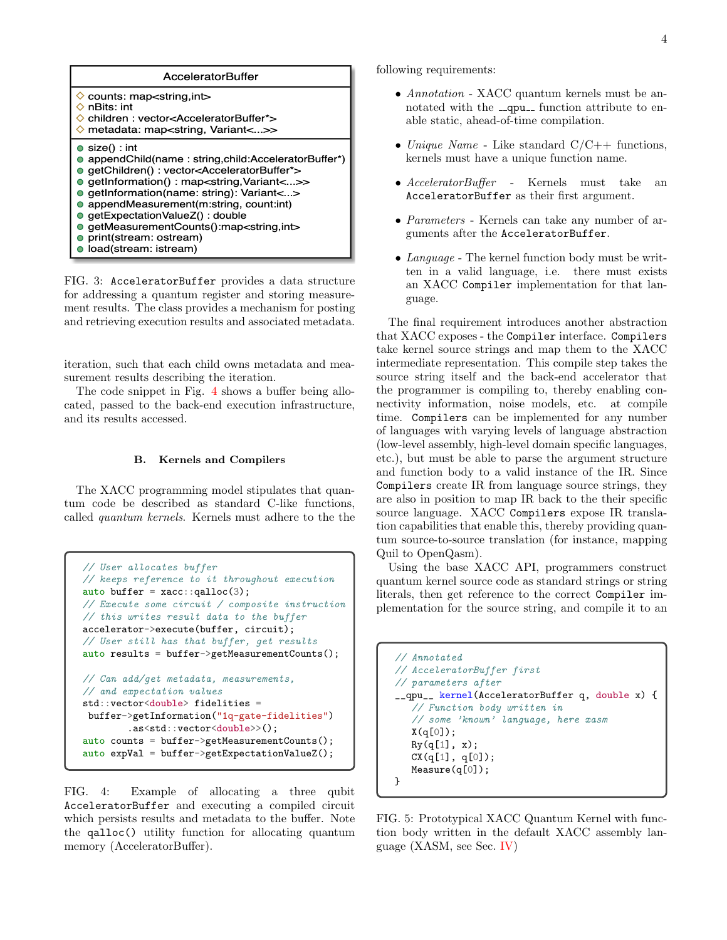<span id="page-3-0"></span>

FIG. 3: AcceleratorBuffer provides a data structure for addressing a quantum register and storing measurement results. The class provides a mechanism for posting and retrieving execution results and associated metadata.

iteration, such that each child owns metadata and measurement results describing the iteration.

The code snippet in Fig. [4](#page-3-1) shows a buffer being allocated, passed to the back-end execution infrastructure, and its results accessed.

#### B. Kernels and Compilers

The XACC programming model stipulates that quantum code be described as standard C-like functions, called quantum kernels. Kernels must adhere to the the

```
// User allocates buffer
// keeps reference to it throughout execution
auto buffer = xacc::qalloc(3);// Execute some circuit / composite instruction
// this writes result data to the buffer
accelerator->execute(buffer, circuit);
// User still has that buffer, get results
auto results = buffer->getMeasurementCounts();
// Can add/get metadata, measurements,
// and expectation values
std::vector<double> fidelities =
buffer->getInformation("1q-gate-fidelities")
        .as<std::vector<double>>();
auto counts = buffer->getMeasurementCounts();
auto expVal = buffer->getExpectationValueZ();
```
FIG. 4: Example of allocating a three qubit AcceleratorBuffer and executing a compiled circuit which persists results and metadata to the buffer. Note the qalloc() utility function for allocating quantum memory (AcceleratorBuffer).

following requirements:

- Annotation XACC quantum kernels must be annotated with the  $\text{\_}q$ -qpu $\text{\_}$  function attribute to enable static, ahead-of-time compilation.
- Unique Name Like standard  $C/C++$  functions, kernels must have a unique function name.
- AcceleratorBuffer Kernels must take an AcceleratorBuffer as their first argument.
- Parameters Kernels can take any number of arguments after the AcceleratorBuffer.
- Language The kernel function body must be written in a valid language, i.e. there must exists an XACC Compiler implementation for that language.

The final requirement introduces another abstraction that XACC exposes - the Compiler interface. Compilers take kernel source strings and map them to the XACC intermediate representation. This compile step takes the source string itself and the back-end accelerator that the programmer is compiling to, thereby enabling connectivity information, noise models, etc. at compile time. Compilers can be implemented for any number of languages with varying levels of language abstraction (low-level assembly, high-level domain specific languages, etc.), but must be able to parse the argument structure and function body to a valid instance of the IR. Since Compilers create IR from language source strings, they are also in position to map IR back to the their specific source language. XACC Compilers expose IR translation capabilities that enable this, thereby providing quantum source-to-source translation (for instance, mapping Quil to OpenQasm).

Using the base XACC API, programmers construct quantum kernel source code as standard strings or string literals, then get reference to the correct Compiler implementation for the source string, and compile it to an

```
// Annotated
// AcceleratorBuffer first
// parameters after
__qpu__ kernel(AcceleratorBuffer q, double x) {
   // Function body written in
   // some 'known' language, here xasm
  X(q[0]);
   Ry(q[1], x);CX(q[1], q[0]);Measure(q[0]);
}
```
FIG. 5: Prototypical XACC Quantum Kernel with function body written in the default XACC assembly language (XASM, see Sec. [IV\)](#page-10-0)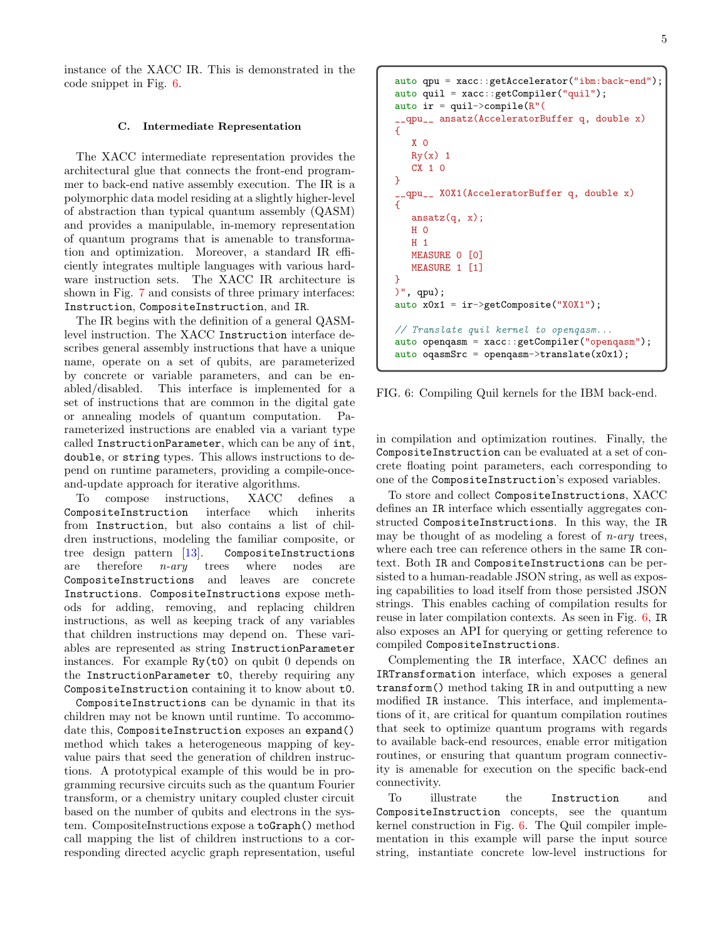instance of the XACC IR. This is demonstrated in the code snippet in Fig. [6.](#page-4-0)

#### C. Intermediate Representation

The XACC intermediate representation provides the architectural glue that connects the front-end programmer to back-end native assembly execution. The IR is a polymorphic data model residing at a slightly higher-level of abstraction than typical quantum assembly (QASM) and provides a manipulable, in-memory representation of quantum programs that is amenable to transformation and optimization. Moreover, a standard IR efficiently integrates multiple languages with various hardware instruction sets. The XACC IR architecture is shown in Fig. [7](#page-5-0) and consists of three primary interfaces: Instruction, CompositeInstruction, and IR.

The IR begins with the definition of a general QASMlevel instruction. The XACC Instruction interface describes general assembly instructions that have a unique name, operate on a set of qubits, are parameterized by concrete or variable parameters, and can be enabled/disabled. This interface is implemented for a set of instructions that are common in the digital gate or annealing models of quantum computation. rameterized instructions are enabled via a variant type called InstructionParameter, which can be any of int, double, or string types. This allows instructions to depend on runtime parameters, providing a compile-onceand-update approach for iterative algorithms.

To compose instructions, XACC defines a CompositeInstruction interface which inherits from Instruction, but also contains a list of children instructions, modeling the familiar composite, or tree design pattern [\[13\]](#page-16-8). CompositeInstructions are therefore  $n\text{-}ary$  trees where nodes are CompositeInstructions and leaves are concrete Instructions. CompositeInstructions expose methods for adding, removing, and replacing children instructions, as well as keeping track of any variables that children instructions may depend on. These variables are represented as string InstructionParameter instances. For example  $Ry(t0)$  on qubit 0 depends on the InstructionParameter t0, thereby requiring any CompositeInstruction containing it to know about t0.

CompositeInstructions can be dynamic in that its children may not be known until runtime. To accommodate this, CompositeInstruction exposes an expand() method which takes a heterogeneous mapping of keyvalue pairs that seed the generation of children instructions. A prototypical example of this would be in programming recursive circuits such as the quantum Fourier transform, or a chemistry unitary coupled cluster circuit based on the number of qubits and electrons in the system. CompositeInstructions expose a toGraph() method call mapping the list of children instructions to a corresponding directed acyclic graph representation, useful

<span id="page-4-0"></span>auto qpu = xacc::getAccelerator("ibm:back-end"); auto quil = xacc::getCompiler("quil"); auto ir = quil->compile( $R''($ \_\_qpu\_\_ ansatz(AcceleratorBuffer q, double x) { X 0  $Ry(x)$  1 CX 1 0 } \_\_qpu\_\_ XOX1(AcceleratorBuffer q, double x) {  $ansatz(q, x);$  $H<sub>0</sub>$ H 1 MEASURE 0 [0] MEASURE 1 [1] } )", qpu); auto x0x1 = ir->getComposite("X0X1"); // Translate quil kernel to openqasm... auto openqasm = xacc::getCompiler("openqasm"); auto oqasm $Src = openqasm->translate(x0x1);$ 

FIG. 6: Compiling Quil kernels for the IBM back-end.

in compilation and optimization routines. Finally, the CompositeInstruction can be evaluated at a set of concrete floating point parameters, each corresponding to one of the CompositeInstruction's exposed variables.

To store and collect CompositeInstructions, XACC defines an IR interface which essentially aggregates constructed CompositeInstructions. In this way, the IR may be thought of as modeling a forest of  $n\text{-}ary$  trees, where each tree can reference others in the same IR context. Both IR and CompositeInstructions can be persisted to a human-readable JSON string, as well as exposing capabilities to load itself from those persisted JSON strings. This enables caching of compilation results for reuse in later compilation contexts. As seen in Fig. [6,](#page-4-0) IR also exposes an API for querying or getting reference to compiled CompositeInstructions.

Complementing the IR interface, XACC defines an IRTransformation interface, which exposes a general transform() method taking IR in and outputting a new modified IR instance. This interface, and implementations of it, are critical for quantum compilation routines that seek to optimize quantum programs with regards to available back-end resources, enable error mitigation routines, or ensuring that quantum program connectivity is amenable for execution on the specific back-end connectivity.

To illustrate the Instruction and CompositeInstruction concepts, see the quantum kernel construction in Fig. [6.](#page-4-0) The Quil compiler implementation in this example will parse the input source string, instantiate concrete low-level instructions for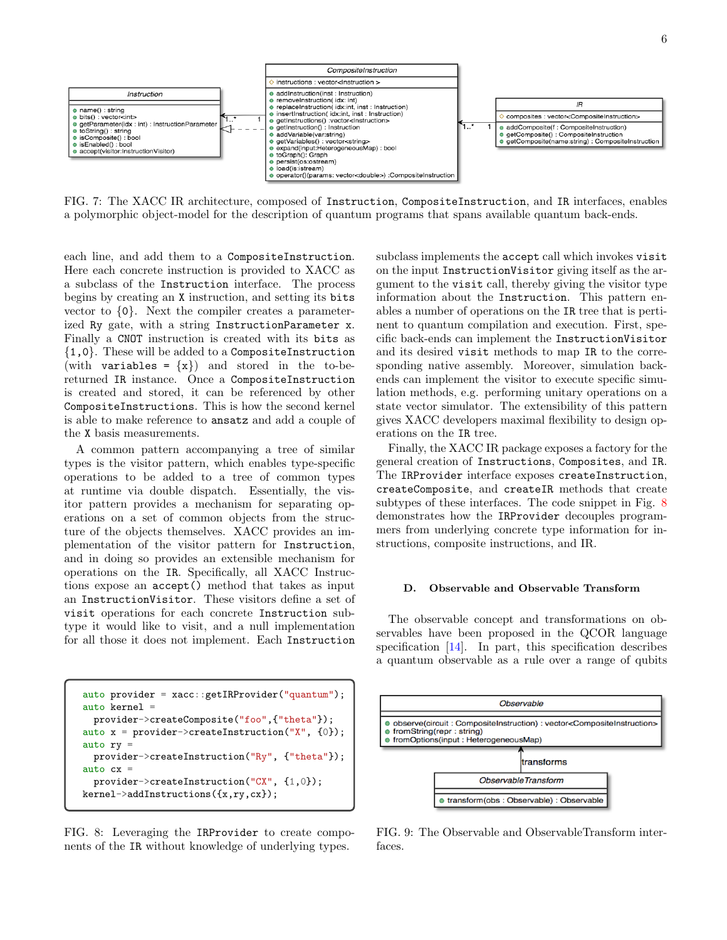<span id="page-5-0"></span>

FIG. 7: The XACC IR architecture, composed of Instruction, CompositeInstruction, and IR interfaces, enables a polymorphic object-model for the description of quantum programs that spans available quantum back-ends.

each line, and add them to a CompositeInstruction. Here each concrete instruction is provided to XACC as a subclass of the Instruction interface. The process begins by creating an X instruction, and setting its bits vector to {0}. Next the compiler creates a parameterized Ry gate, with a string InstructionParameter x. Finally a CNOT instruction is created with its bits as {1,0}. These will be added to a CompositeInstruction (with variables =  $\{x\}$ ) and stored in the to-bereturned IR instance. Once a CompositeInstruction is created and stored, it can be referenced by other CompositeInstructions. This is how the second kernel is able to make reference to ansatz and add a couple of the X basis measurements.

A common pattern accompanying a tree of similar types is the visitor pattern, which enables type-specific operations to be added to a tree of common types at runtime via double dispatch. Essentially, the visitor pattern provides a mechanism for separating operations on a set of common objects from the structure of the objects themselves. XACC provides an implementation of the visitor pattern for Instruction, and in doing so provides an extensible mechanism for operations on the IR. Specifically, all XACC Instructions expose an accept() method that takes as input an InstructionVisitor. These visitors define a set of visit operations for each concrete Instruction subtype it would like to visit, and a null implementation for all those it does not implement. Each Instruction

<span id="page-5-1"></span>auto provider = xacc::getIRProvider("quantum"); auto kernel = provider->createComposite("foo",{"theta"}); auto  $x =$  provider->createInstruction("X", {0}); auto  $ry =$ provider->createInstruction("Ry", {"theta"}); auto  $cx =$ provider->createInstruction("CX", {1,0}); kernel->addInstructions({x,ry,cx});

FIG. 8: Leveraging the IRProvider to create components of the IR without knowledge of underlying types.

subclass implements the accept call which invokes visit on the input InstructionVisitor giving itself as the argument to the visit call, thereby giving the visitor type information about the Instruction. This pattern enables a number of operations on the IR tree that is pertinent to quantum compilation and execution. First, specific back-ends can implement the InstructionVisitor and its desired visit methods to map IR to the corresponding native assembly. Moreover, simulation backends can implement the visitor to execute specific simulation methods, e.g. performing unitary operations on a state vector simulator. The extensibility of this pattern gives XACC developers maximal flexibility to design operations on the IR tree.

Finally, the XACC IR package exposes a factory for the general creation of Instructions, Composites, and IR. The IRProvider interface exposes createInstruction, createComposite, and createIR methods that create subtypes of these interfaces. The code snippet in Fig. [8](#page-5-1) demonstrates how the IRProvider decouples programmers from underlying concrete type information for instructions, composite instructions, and IR.

#### D. Observable and Observable Transform

The observable concept and transformations on observables have been proposed in the QCOR language specification [\[14\]](#page-16-9). In part, this specification describes a quantum observable as a rule over a range of qubits

<span id="page-5-2"></span>

FIG. 9: The Observable and ObservableTransform interfaces.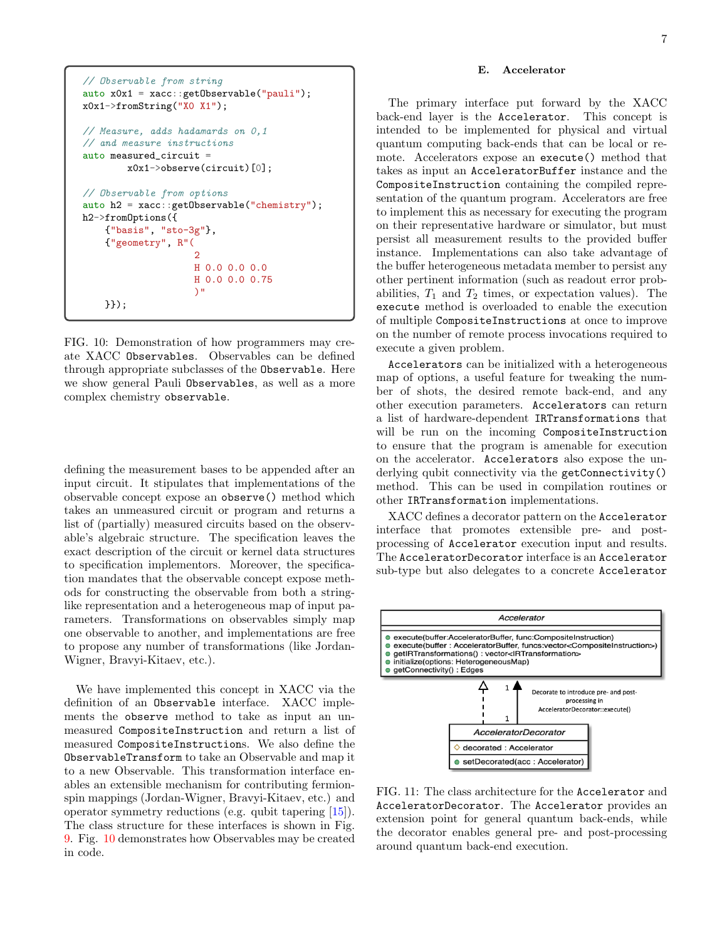```
// Observable from string
auto x0x1 = xacc::getObservable("pauli");
x0x1->fromString("X0 X1");
// Measure, adds hadamards on 0,1
// and measure instructions
auto measured_circuit =
        x0x1->observe(circuit)[0];
// Observable from options
auto h2 = xacc::getObservable("chemistry");
h2->fromOptions({
    {"basis", "sto-3g"},
    {"geometry", R"(
                      2
                     H 0.0 0.0 0.0
                     H 0.0 0.0 0.75
                     \Delta<sup>\theta</sup>
    }});
```
FIG. 10: Demonstration of how programmers may create XACC Observables. Observables can be defined through appropriate subclasses of the Observable. Here we show general Pauli Observables, as well as a more complex chemistry observable.

defining the measurement bases to be appended after an input circuit. It stipulates that implementations of the observable concept expose an observe() method which takes an unmeasured circuit or program and returns a list of (partially) measured circuits based on the observable's algebraic structure. The specification leaves the exact description of the circuit or kernel data structures to specification implementors. Moreover, the specification mandates that the observable concept expose methods for constructing the observable from both a stringlike representation and a heterogeneous map of input parameters. Transformations on observables simply map one observable to another, and implementations are free to propose any number of transformations (like Jordan-Wigner, Bravyi-Kitaev, etc.).

We have implemented this concept in XACC via the definition of an Observable interface. XACC implements the observe method to take as input an unmeasured CompositeInstruction and return a list of measured CompositeInstructions. We also define the ObservableTransform to take an Observable and map it to a new Observable. This transformation interface enables an extensible mechanism for contributing fermionspin mappings (Jordan-Wigner, Bravyi-Kitaev, etc.) and operator symmetry reductions (e.g. qubit tapering [\[15\]](#page-16-10)). The class structure for these interfaces is shown in Fig. [9.](#page-5-2) Fig. [10](#page-6-1) demonstrates how Observables may be created in code.

## <span id="page-6-0"></span>E. Accelerator

The primary interface put forward by the XACC back-end layer is the Accelerator. This concept is intended to be implemented for physical and virtual quantum computing back-ends that can be local or remote. Accelerators expose an execute() method that takes as input an AcceleratorBuffer instance and the CompositeInstruction containing the compiled representation of the quantum program. Accelerators are free to implement this as necessary for executing the program on their representative hardware or simulator, but must persist all measurement results to the provided buffer instance. Implementations can also take advantage of the buffer heterogeneous metadata member to persist any other pertinent information (such as readout error probabilities,  $T_1$  and  $T_2$  times, or expectation values). The execute method is overloaded to enable the execution of multiple CompositeInstructions at once to improve on the number of remote process invocations required to execute a given problem.

Accelerators can be initialized with a heterogeneous map of options, a useful feature for tweaking the number of shots, the desired remote back-end, and any other execution parameters. Accelerators can return a list of hardware-dependent IRTransformations that will be run on the incoming CompositeInstruction to ensure that the program is amenable for execution on the accelerator. Accelerators also expose the underlying qubit connectivity via the getConnectivity() method. This can be used in compilation routines or other IRTransformation implementations.

XACC defines a decorator pattern on the Accelerator interface that promotes extensible pre- and postprocessing of Accelerator execution input and results. The AcceleratorDecorator interface is an Accelerator sub-type but also delegates to a concrete Accelerator

<span id="page-6-2"></span>

FIG. 11: The class architecture for the Accelerator and AcceleratorDecorator. The Accelerator provides an extension point for general quantum back-ends, while the decorator enables general pre- and post-processing around quantum back-end execution.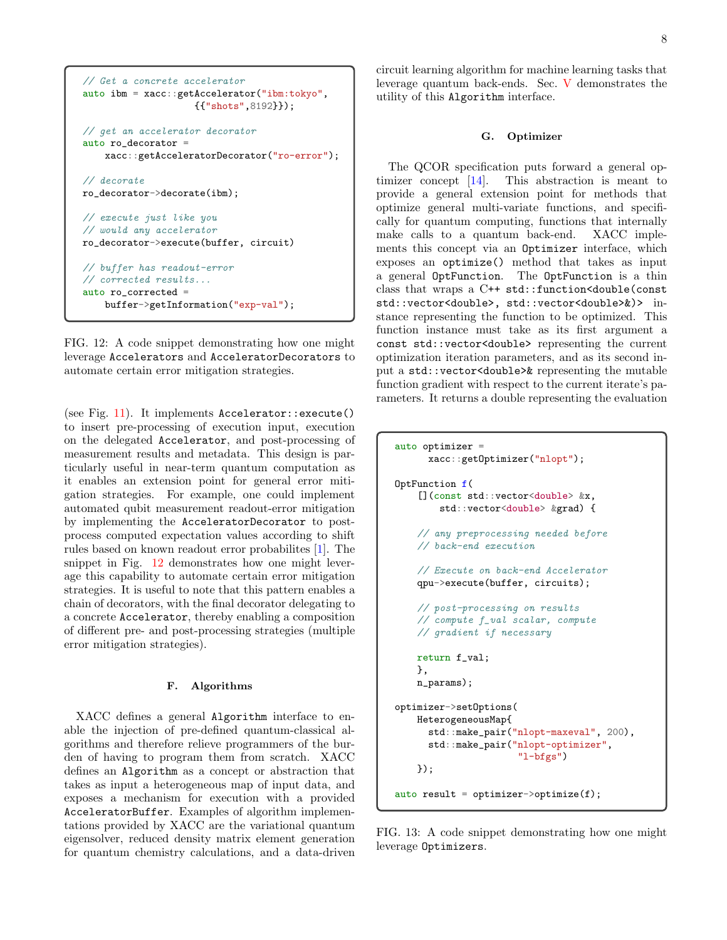```
// Get a concrete accelerator
auto ibm = xacc::getAccelerator("ibm:tokyo",
                    {{"shots",8192}});
// get an accelerator decorator
auto ro_decorator =
    xacc::getAcceleratorDecorator("ro-error");
// decorate
ro_decorator->decorate(ibm);
// execute just like you
// would any accelerator
ro_decorator->execute(buffer, circuit)
// buffer has readout-error
// corrected results...
auto ro_corrected =
   buffer->getInformation("exp-val");
```
FIG. 12: A code snippet demonstrating how one might leverage Accelerators and AcceleratorDecorators to automate certain error mitigation strategies.

(see Fig. [11\)](#page-6-2). It implements  $Accelerator:execute()$ to insert pre-processing of execution input, execution on the delegated Accelerator, and post-processing of measurement results and metadata. This design is particularly useful in near-term quantum computation as it enables an extension point for general error mitigation strategies. For example, one could implement automated qubit measurement readout-error mitigation by implementing the AcceleratorDecorator to postprocess computed expectation values according to shift rules based on known readout error probabilites [\[1\]](#page-16-0). The snippet in Fig. [12](#page-7-0) demonstrates how one might leverage this capability to automate certain error mitigation strategies. It is useful to note that this pattern enables a chain of decorators, with the final decorator delegating to a concrete Accelerator, thereby enabling a composition of different pre- and post-processing strategies (multiple error mitigation strategies).

# F. Algorithms

XACC defines a general Algorithm interface to enable the injection of pre-defined quantum-classical algorithms and therefore relieve programmers of the burden of having to program them from scratch. XACC defines an Algorithm as a concept or abstraction that takes as input a heterogeneous map of input data, and exposes a mechanism for execution with a provided AcceleratorBuffer. Examples of algorithm implementations provided by XACC are the variational quantum eigensolver, reduced density matrix element generation for quantum chemistry calculations, and a data-driven

circuit learning algorithm for machine learning tasks that leverage quantum back-ends. Sec. [V](#page-12-0) demonstrates the utility of this Algorithm interface.

#### G. Optimizer

The QCOR specification puts forward a general optimizer concept [\[14\]](#page-16-9). This abstraction is meant to provide a general extension point for methods that optimize general multi-variate functions, and specifically for quantum computing, functions that internally make calls to a quantum back-end. XACC implements this concept via an Optimizer interface, which exposes an optimize() method that takes as input a general OptFunction. The OptFunction is a thin class that wraps a C++ std::function<double(const std::vector<double>, std::vector<double>&)> instance representing the function to be optimized. This function instance must take as its first argument a const std::vector<double> representing the current optimization iteration parameters, and as its second input a std::vector<double>& representing the mutable function gradient with respect to the current iterate's parameters. It returns a double representing the evaluation

```
auto optimizer =
     xacc::getOptimizer("nlopt");
OptFunction f(
    [](const std::vector<double> &x,
        std::vector<double> &grad) {
    // any preprocessing needed before
    // back-end execution
    // Execute on back-end Accelerator
    qpu->execute(buffer, circuits);
    // post-processing on results
    // compute f_val scalar, compute
    // gradient if necessary
    return f_val;
   },
    n_params);
optimizer->setOptions(
   HeterogeneousMap{
      std::make_pair("nlopt-maxeval", 200),
      std::make_pair("nlopt-optimizer",
                      "l-bfgs")
    });
auto result = optimizer->optimize(f);
```
FIG. 13: A code snippet demonstrating how one might leverage Optimizers.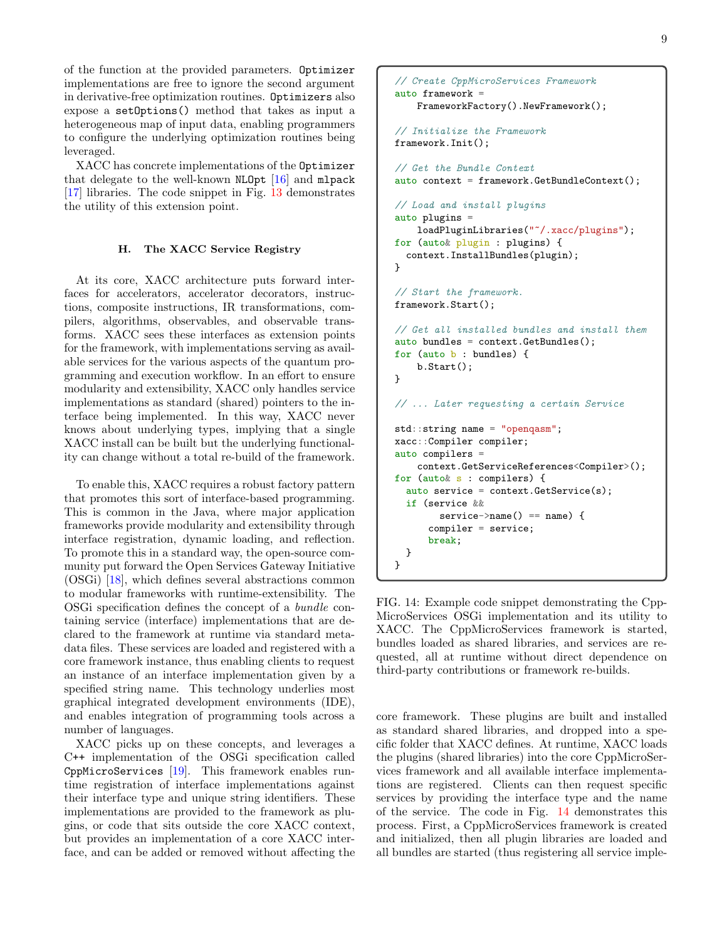of the function at the provided parameters. Optimizer implementations are free to ignore the second argument in derivative-free optimization routines. Optimizers also expose a setOptions() method that takes as input a heterogeneous map of input data, enabling programmers to configure the underlying optimization routines being leveraged.

XACC has concrete implementations of the Optimizer that delegate to the well-known NLOpt  $[16]$  and mlpack [\[17\]](#page-16-12) libraries. The code snippet in Fig. [13](#page-7-1) demonstrates the utility of this extension point.

# H. The XACC Service Registry

At its core, XACC architecture puts forward interfaces for accelerators, accelerator decorators, instructions, composite instructions, IR transformations, compilers, algorithms, observables, and observable transforms. XACC sees these interfaces as extension points for the framework, with implementations serving as available services for the various aspects of the quantum programming and execution workflow. In an effort to ensure modularity and extensibility, XACC only handles service implementations as standard (shared) pointers to the interface being implemented. In this way, XACC never knows about underlying types, implying that a single XACC install can be built but the underlying functionality can change without a total re-build of the framework.

To enable this, XACC requires a robust factory pattern that promotes this sort of interface-based programming. This is common in the Java, where major application frameworks provide modularity and extensibility through interface registration, dynamic loading, and reflection. To promote this in a standard way, the open-source community put forward the Open Services Gateway Initiative (OSGi) [\[18\]](#page-16-13), which defines several abstractions common to modular frameworks with runtime-extensibility. The OSGi specification defines the concept of a bundle containing service (interface) implementations that are declared to the framework at runtime via standard metadata files. These services are loaded and registered with a core framework instance, thus enabling clients to request an instance of an interface implementation given by a specified string name. This technology underlies most graphical integrated development environments (IDE), and enables integration of programming tools across a number of languages.

XACC picks up on these concepts, and leverages a C++ implementation of the OSGi specification called CppMicroServices [\[19\]](#page-16-14). This framework enables runtime registration of interface implementations against their interface type and unique string identifiers. These implementations are provided to the framework as plugins, or code that sits outside the core XACC context, but provides an implementation of a core XACC interface, and can be added or removed without affecting the

```
// Create CppMicroServices Framework
auto framework =
    FrameworkFactory().NewFramework();
// Initialize the Framework
framework.Init();
// Get the Bundle Context
auto context = framework.GetBundleContext();
// Load and install plugins
auto plugins =
    loadPluginLibraries("~/.xacc/plugins");
for (auto& plugin : plugins) {
  context.InstallBundles(plugin);
}
// Start the framework.
framework.Start();
// Get all installed bundles and install them
auto bundles = context.GetBundles();
for (auto b : bundles) {
    b.Start();
}
// ... Later requesting a certain Service
std::string name = "openqasm";
xacc::Compiler compiler;
auto compilers =
    context.GetServiceReferences<Compiler>();
for (auto& s : compilers) {
  auto service = context.GetService(s);
  if (service &&
        service->name() == name) {
      compiler = service;
      break;
  }
}
```
FIG. 14: Example code snippet demonstrating the Cpp-MicroServices OSGi implementation and its utility to XACC. The CppMicroServices framework is started, bundles loaded as shared libraries, and services are requested, all at runtime without direct dependence on third-party contributions or framework re-builds.

core framework. These plugins are built and installed as standard shared libraries, and dropped into a specific folder that XACC defines. At runtime, XACC loads the plugins (shared libraries) into the core CppMicroServices framework and all available interface implementations are registered. Clients can then request specific services by providing the interface type and the name of the service. The code in Fig. [14](#page-8-0) demonstrates this process. First, a CppMicroServices framework is created and initialized, then all plugin libraries are loaded and all bundles are started (thus registering all service imple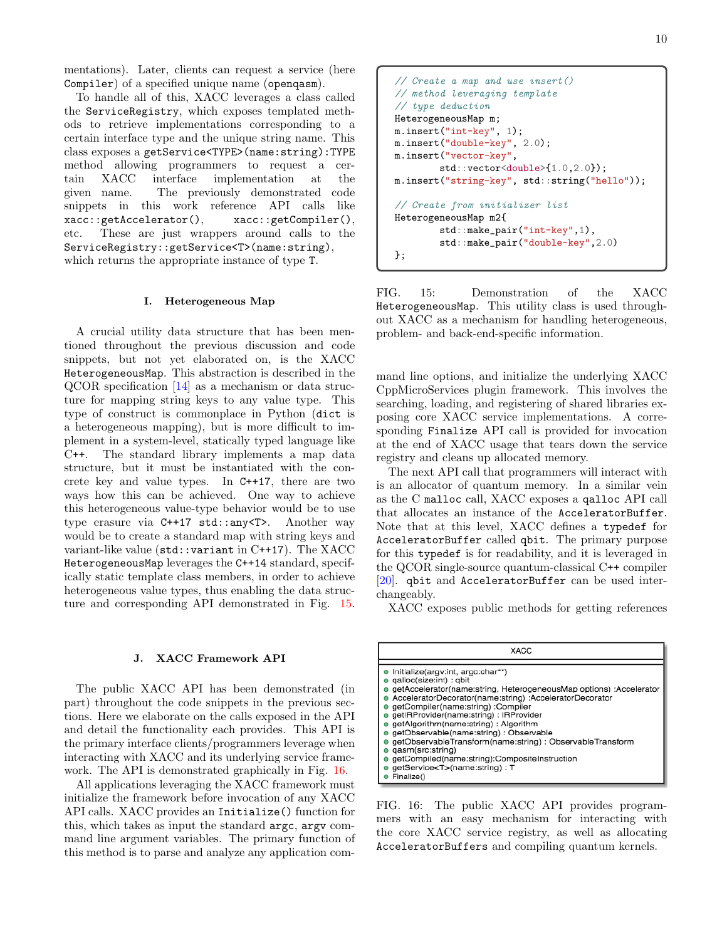mentations). Later, clients can request a service (here Compiler) of a specified unique name (openqasm).

To handle all of this, XACC leverages a class called the ServiceRegistry, which exposes templated methods to retrieve implementations corresponding to a certain interface type and the unique string name. This class exposes a getService<TYPE>(name:string):TYPE method allowing programmers to request a certain XACC interface implementation at the given name. The previously demonstrated code snippets in this work reference API calls like xacc::getAccelerator(), xacc::getCompiler(), etc. These are just wrappers around calls to the ServiceRegistry::getService<T>(name:string), which returns the appropriate instance of type T.

#### <span id="page-9-0"></span>I. Heterogeneous Map

A crucial utility data structure that has been mentioned throughout the previous discussion and code snippets, but not yet elaborated on, is the XACC HeterogeneousMap. This abstraction is described in the QCOR specification [\[14\]](#page-16-9) as a mechanism or data structure for mapping string keys to any value type. This type of construct is commonplace in Python (dict is a heterogeneous mapping), but is more difficult to implement in a system-level, statically typed language like C++. The standard library implements a map data structure, but it must be instantiated with the concrete key and value types. In C++17, there are two ways how this can be achieved. One way to achieve this heterogeneous value-type behavior would be to use type erasure via C++17 std::any<T>. Another way would be to create a standard map with string keys and variant-like value (std::variant in C++17). The XACC HeterogeneousMap leverages the C++14 standard, specifically static template class members, in order to achieve heterogeneous value types, thus enabling the data structure and corresponding API demonstrated in Fig. [15.](#page-9-1)

#### <span id="page-9-3"></span>J. XACC Framework API

The public XACC API has been demonstrated (in part) throughout the code snippets in the previous sections. Here we elaborate on the calls exposed in the API and detail the functionality each provides. This API is the primary interface clients/programmers leverage when interacting with XACC and its underlying service framework. The API is demonstrated graphically in Fig. [16.](#page-9-2)

All applications leveraging the XACC framework must initialize the framework before invocation of any XACC API calls. XACC provides an Initialize() function for this, which takes as input the standard argc, argv command line argument variables. The primary function of this method is to parse and analyze any application com-

```
// Create a map and use insert()
// method leveraging template
// type deduction
HeterogeneousMap m;
m.insert("int-key", 1);
m.insert("double-key", 2.0);
m.insert("vector-key",
        std::vector<double>{1.0,2.0});
m.insert("string-key", std::string("hello"));
// Create from initializer list
HeterogeneousMap m2{
        std::make_pair("int-key",1),
        std::make_pair("double-key",2.0)
};
```
FIG. 15: Demonstration of the XACC HeterogeneousMap. This utility class is used throughout XACC as a mechanism for handling heterogeneous, problem- and back-end-specific information.

mand line options, and initialize the underlying XACC CppMicroServices plugin framework. This involves the searching, loading, and registering of shared libraries exposing core XACC service implementations. A corresponding Finalize API call is provided for invocation at the end of XACC usage that tears down the service registry and cleans up allocated memory.

The next API call that programmers will interact with is an allocator of quantum memory. In a similar vein as the C malloc call, XACC exposes a qalloc API call that allocates an instance of the AcceleratorBuffer. Note that at this level, XACC defines a typedef for AcceleratorBuffer called qbit. The primary purpose for this typedef is for readability, and it is leveraged in the QCOR single-source quantum-classical C++ compiler [\[20\]](#page-16-15). qbit and AcceleratorBuffer can be used interchangeably.

XACC exposes public methods for getting references

<span id="page-9-2"></span>

| XACC                                                                                                                                                                                                                                                                                                                                                                                                                                                                                                                                                  |
|-------------------------------------------------------------------------------------------------------------------------------------------------------------------------------------------------------------------------------------------------------------------------------------------------------------------------------------------------------------------------------------------------------------------------------------------------------------------------------------------------------------------------------------------------------|
| Initialize(argv:int, argc:char**)<br>qalloc(size:int) : gbit<br>getAccelerator(name:string, HeterogeneousMap options) :Accelerator<br>AcceleratorDecorator(name:string) :AcceleratorDecorator<br>getCompiler(name:string) :Compiler<br>getIRProvider(name:string): IRProvider<br>getAlgorithm(name:string): Algorithm<br>getObservable(name:string): Observable<br>getObservableTransform(name:string): ObservableTransform<br>qasm(src:string)<br>getCompiled(name:string):CompositeInstruction<br>getService <t>(name:string): T<br/>Finalize()</t> |

FIG. 16: The public XACC API provides programmers with an easy mechanism for interacting with the core XACC service registry, as well as allocating AcceleratorBuffers and compiling quantum kernels.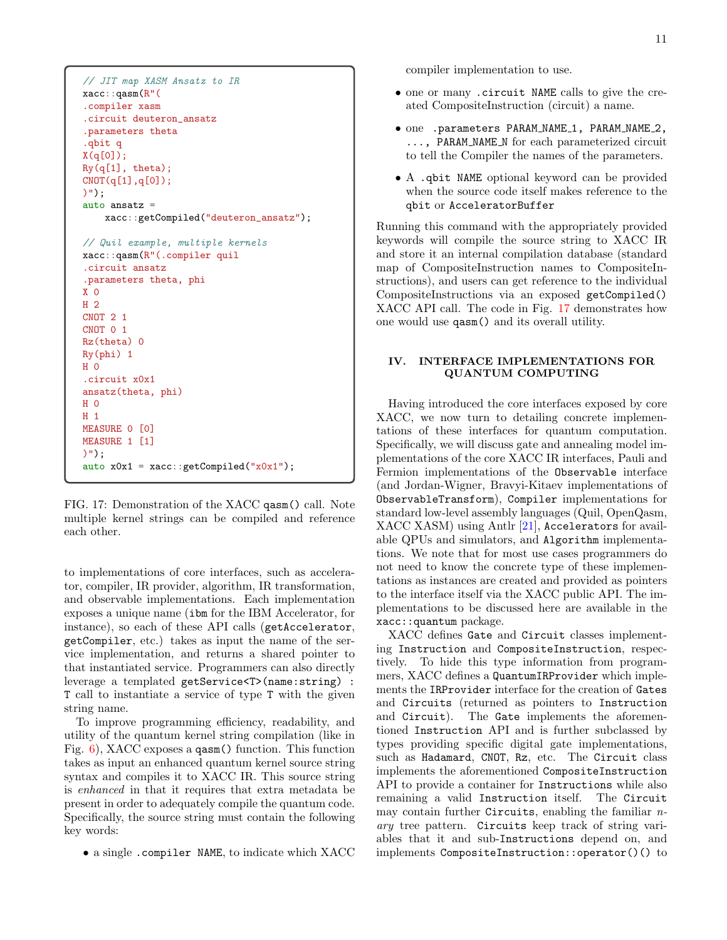```
// JIT map XASM Ansatz to IR
xacc::qasm(R"(
.compiler xasm
.circuit deuteron_ansatz
.parameters theta
.qbit q
X(q[0]);
Ry(q[1], theta);
CNOT(q[1], q[0]);
)");
auto ansatz =xacc::getCompiled("deuteron_ansatz");
// Quil example, multiple kernels
xacc::qasm(R"(.compiler quil
.circuit ansatz
.parameters theta, phi
X 0
H 2
CNOT 2 1
CNOT 0 1
Rz(theta) 0
Ry(phi) 1
H 0
.circuit x0x1
ansatz(theta, phi)
H 0
H 1
MEASURE 0 [0]
MEASURE 1 [1]
)");
auto x0x1 = xacc: :getCompiled("x0x1");
```
FIG. 17: Demonstration of the XACC qasm() call. Note multiple kernel strings can be compiled and reference each other.

to implementations of core interfaces, such as accelerator, compiler, IR provider, algorithm, IR transformation, and observable implementations. Each implementation exposes a unique name (ibm for the IBM Accelerator, for instance), so each of these API calls (getAccelerator, getCompiler, etc.) takes as input the name of the service implementation, and returns a shared pointer to that instantiated service. Programmers can also directly leverage a templated getService<T>(name:string) : T call to instantiate a service of type T with the given string name.

To improve programming efficiency, readability, and utility of the quantum kernel string compilation (like in Fig. [6\)](#page-4-0), XACC exposes a qasm() function. This function takes as input an enhanced quantum kernel source string syntax and compiles it to XACC IR. This source string is enhanced in that it requires that extra metadata be present in order to adequately compile the quantum code. Specifically, the source string must contain the following key words:

• a single .compiler NAME, to indicate which XACC

compiler implementation to use.

- one or many .circuit NAME calls to give the created CompositeInstruction (circuit) a name.
- one .parameters PARAM\_NAME\_1, PARAM\_NAME\_2, ..., PARAM\_NAME\_N for each parameterized circuit to tell the Compiler the names of the parameters.
- A .qbit NAME optional keyword can be provided when the source code itself makes reference to the qbit or AcceleratorBuffer

Running this command with the appropriately provided keywords will compile the source string to XACC IR and store it an internal compilation database (standard map of CompositeInstruction names to CompositeInstructions), and users can get reference to the individual CompositeInstructions via an exposed getCompiled() XACC API call. The code in Fig. [17](#page-10-1) demonstrates how one would use qasm() and its overall utility.

# <span id="page-10-0"></span>IV. INTERFACE IMPLEMENTATIONS FOR QUANTUM COMPUTING

Having introduced the core interfaces exposed by core XACC, we now turn to detailing concrete implementations of these interfaces for quantum computation. Specifically, we will discuss gate and annealing model implementations of the core XACC IR interfaces, Pauli and Fermion implementations of the Observable interface (and Jordan-Wigner, Bravyi-Kitaev implementations of ObservableTransform), Compiler implementations for standard low-level assembly languages (Quil, OpenQasm, XACC XASM) using Antlr [\[21\]](#page-16-16), Accelerators for available QPUs and simulators, and Algorithm implementations. We note that for most use cases programmers do not need to know the concrete type of these implementations as instances are created and provided as pointers to the interface itself via the XACC public API. The implementations to be discussed here are available in the xacc::quantum package.

XACC defines Gate and Circuit classes implementing Instruction and CompositeInstruction, respectively. To hide this type information from programmers, XACC defines a QuantumIRProvider which implements the IRProvider interface for the creation of Gates and Circuits (returned as pointers to Instruction and Circuit). The Gate implements the aforementioned Instruction API and is further subclassed by types providing specific digital gate implementations, such as Hadamard, CNOT, Rz, etc. The Circuit class implements the aforementioned CompositeInstruction API to provide a container for Instructions while also remaining a valid Instruction itself. The Circuit may contain further Circuits, enabling the familiar  $n$ ary tree pattern. Circuits keep track of string variables that it and sub-Instructions depend on, and implements CompositeInstruction::operator()() to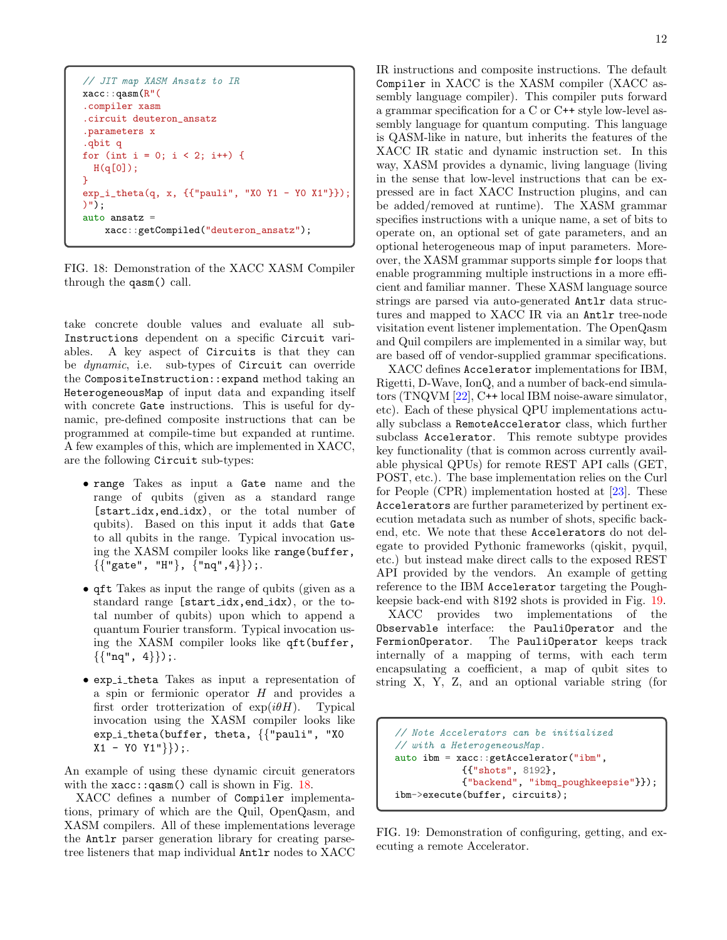```
// JIT map XASM Ansatz to IR
xacc::qasm(R"(
.compiler xasm
.circuit deuteron_ansatz
.parameters x
.qbit q
for (int i = 0; i < 2; i++) {
  H(q[0]);}
exp_i_ttheta(q, x, {{'|v}pauli", "X0 Y1 - Y0 X1"}});)");
auto ansatz =
    xacc::getCompiled("deuteron_ansatz");
```
FIG. 18: Demonstration of the XACC XASM Compiler through the qasm() call.

take concrete double values and evaluate all sub-Instructions dependent on a specific Circuit variables. A key aspect of Circuits is that they can be *dynamic*, i.e. sub-types of Circuit can override the CompositeInstruction::expand method taking an HeterogeneousMap of input data and expanding itself with concrete Gate instructions. This is useful for dynamic, pre-defined composite instructions that can be programmed at compile-time but expanded at runtime. A few examples of this, which are implemented in XACC, are the following Circuit sub-types:

- range Takes as input a Gate name and the range of qubits (given as a standard range [start idx,end idx), or the total number of qubits). Based on this input it adds that Gate to all qubits in the range. Typical invocation using the XASM compiler looks like range(buffer,  $\{{'''}gate''$ , "H"},  ${'''}nq", 4\}$ );.
- qft Takes as input the range of qubits (given as a standard range [start\_idx,end\_idx), or the total number of qubits) upon which to append a quantum Fourier transform. Typical invocation using the XASM compiler looks like qft(buffer,  $\{ {\text{''nq''}, 4\}}$ .
- exp i theta Takes as input a representation of a spin or fermionic operator  $H$  and provides a first order trotterization of  $exp(i\theta H)$ . Typical invocation using the XASM compiler looks like exp\_i\_theta(buffer, theta, {{"pauli", "XO  $X1 - Y0 Y1"$ });.

An example of using these dynamic circuit generators with the  $xacc::qasm()$  call is shown in Fig. [18.](#page-11-0)

XACC defines a number of Compiler implementations, primary of which are the Quil, OpenQasm, and XASM compilers. All of these implementations leverage the Antlr parser generation library for creating parsetree listeners that map individual Antlr nodes to XACC

IR instructions and composite instructions. The default Compiler in XACC is the XASM compiler (XACC assembly language compiler). This compiler puts forward a grammar specification for a C or C++ style low-level assembly language for quantum computing. This language is QASM-like in nature, but inherits the features of the XACC IR static and dynamic instruction set. In this way, XASM provides a dynamic, living language (living in the sense that low-level instructions that can be expressed are in fact XACC Instruction plugins, and can be added/removed at runtime). The XASM grammar specifies instructions with a unique name, a set of bits to operate on, an optional set of gate parameters, and an optional heterogeneous map of input parameters. Moreover, the XASM grammar supports simple for loops that enable programming multiple instructions in a more efficient and familiar manner. These XASM language source strings are parsed via auto-generated Antlr data structures and mapped to XACC IR via an Antlr tree-node visitation event listener implementation. The OpenQasm and Quil compilers are implemented in a similar way, but are based off of vendor-supplied grammar specifications.

XACC defines Accelerator implementations for IBM, Rigetti, D-Wave, IonQ, and a number of back-end simulators (TNQVM [\[22\]](#page-16-17), C++ local IBM noise-aware simulator, etc). Each of these physical QPU implementations actually subclass a RemoteAccelerator class, which further subclass Accelerator. This remote subtype provides key functionality (that is common across currently available physical QPUs) for remote REST API calls (GET, POST, etc.). The base implementation relies on the Curl for People (CPR) implementation hosted at [\[23\]](#page-16-18). These Accelerators are further parameterized by pertinent execution metadata such as number of shots, specific backend, etc. We note that these Accelerators do not delegate to provided Pythonic frameworks (qiskit, pyquil, etc.) but instead make direct calls to the exposed REST API provided by the vendors. An example of getting reference to the IBM Accelerator targeting the Poughkeepsie back-end with 8192 shots is provided in Fig. [19.](#page-11-1)

XACC provides two implementations of the Observable interface: the PauliOperator and the FermionOperator. The PauliOperator keeps track internally of a mapping of terms, with each term encapsulating a coefficient, a map of qubit sites to string X, Y, Z, and an optional variable string (for

```
// Note Accelerators can be initialized
// with a HeterogeneousMap.
auto ibm = xacc::getAccelerator("ibm",
            {{"shots", 8192},
            {"backend", "ibmq_poughkeepsie"}});
ibm->execute(buffer, circuits);
```
FIG. 19: Demonstration of configuring, getting, and executing a remote Accelerator.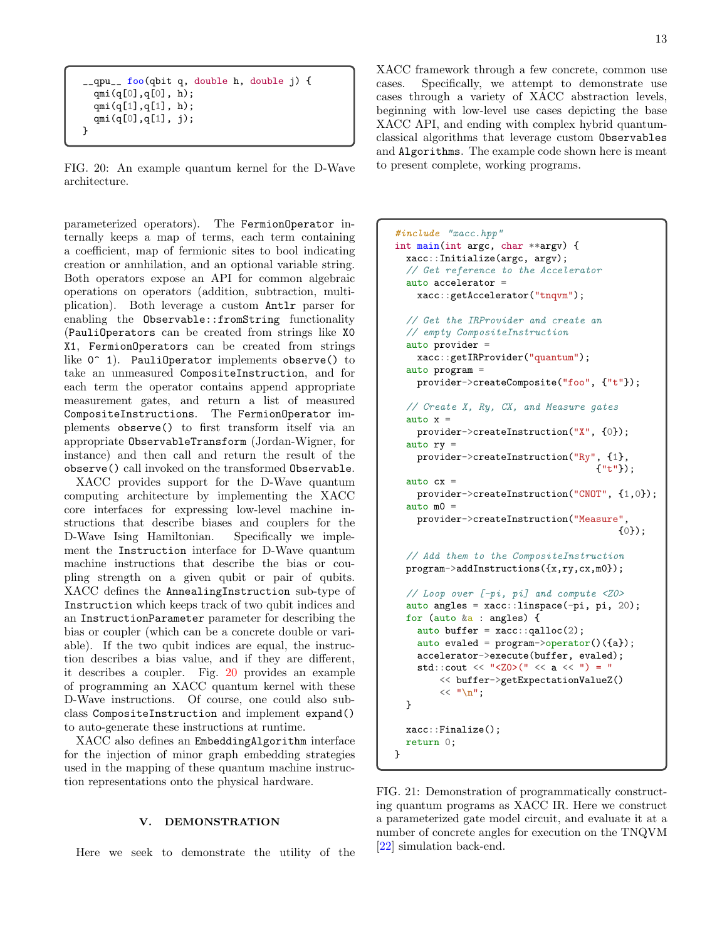```
__qpu__ foo(qbit q, double h, double j) {
  qmi(q[0], q[0], h);qmi(q[1],q[1], h);qmi(q[0],q[1], j);
}
```
FIG. 20: An example quantum kernel for the D-Wave architecture.

parameterized operators). The FermionOperator internally keeps a map of terms, each term containing a coefficient, map of fermionic sites to bool indicating creation or annhilation, and an optional variable string. Both operators expose an API for common algebraic operations on operators (addition, subtraction, multiplication). Both leverage a custom Antlr parser for enabling the Observable::fromString functionality (PauliOperators can be created from strings like X0 X1, FermionOperators can be created from strings like  $0^{\circ}$  1). PauliOperator implements observe() to take an unmeasured CompositeInstruction, and for each term the operator contains append appropriate measurement gates, and return a list of measured CompositeInstructions. The FermionOperator implements observe() to first transform itself via an appropriate ObservableTransform (Jordan-Wigner, for instance) and then call and return the result of the observe() call invoked on the transformed Observable.

XACC provides support for the D-Wave quantum computing architecture by implementing the XACC core interfaces for expressing low-level machine instructions that describe biases and couplers for the D-Wave Ising Hamiltonian. Specifically we implement the Instruction interface for D-Wave quantum machine instructions that describe the bias or coupling strength on a given qubit or pair of qubits. XACC defines the AnnealingInstruction sub-type of Instruction which keeps track of two qubit indices and an InstructionParameter parameter for describing the bias or coupler (which can be a concrete double or variable). If the two qubit indices are equal, the instruction describes a bias value, and if they are different, it describes a coupler. Fig. [20](#page-12-1) provides an example of programming an XACC quantum kernel with these D-Wave instructions. Of course, one could also subclass CompositeInstruction and implement expand() to auto-generate these instructions at runtime.

XACC also defines an EmbeddingAlgorithm interface for the injection of minor graph embedding strategies used in the mapping of these quantum machine instruction representations onto the physical hardware.

# <span id="page-12-0"></span>V. DEMONSTRATION

Here we seek to demonstrate the utility of the

XACC framework through a few concrete, common use cases. Specifically, we attempt to demonstrate use cases through a variety of XACC abstraction levels, beginning with low-level use cases depicting the base XACC API, and ending with complex hybrid quantumclassical algorithms that leverage custom Observables and Algorithms. The example code shown here is meant to present complete, working programs.

```
#include "xacc.hpp"
int main(int argc, char **argv) {
 xacc::Initialize(argc, argv);
  // Get reference to the Accelerator
 auto accelerator =
   xacc::getAccelerator("tnqvm");
  // Get the IRProvider and create an
  // empty CompositeInstruction
  auto provider =
   xacc::getIRProvider("quantum");
  auto program =
    provider->createComposite("foo", {"t"});
  // Create X, Ry, CX, and Measure gates
  auto x =provider->createInstruction("X", {0});
  auto ry =provider->createInstruction("Ry", {1},
                                     {"t"});
  auto cx =provider->createInstruction("CNOT", {1,0});
  auto m0 =provider->createInstruction("Measure",
                                         {0});
 // Add them to the CompositeInstruction
 program->addInstructions({x,ry,cx,m0});
 // Loop over [-pi, pi] and compute <Z0>
 auto angles = xacc::linspace(-pi, pi, 20);
 for (auto &a : angles) {
    auto buffer = xacc::qalloc(2);
    auto evaled = program \rightarrow operator() (\{a\});
    accelerator->execute(buffer, evaled);
    std::cout << "<Z0>(" << a << ") = "
        << buffer->getExpectationValueZ()
        << "\ln";
 }
 xacc::Finalize();
 return 0;
}
```
FIG. 21: Demonstration of programmatically constructing quantum programs as XACC IR. Here we construct a parameterized gate model circuit, and evaluate it at a number of concrete angles for execution on the TNQVM [\[22\]](#page-16-17) simulation back-end.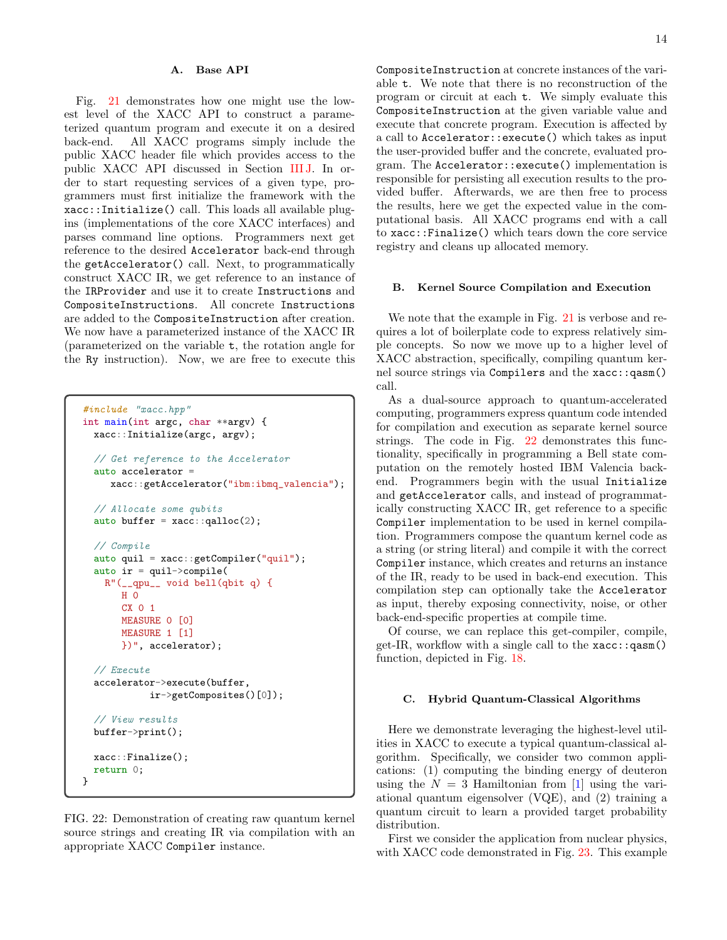#### A. Base API

Fig. [21](#page-12-2) demonstrates how one might use the lowest level of the XACC API to construct a parameterized quantum program and execute it on a desired back-end. All XACC programs simply include the public XACC header file which provides access to the public XACC API discussed in Section [III J.](#page-9-3) In order to start requesting services of a given type, programmers must first initialize the framework with the xacc::Initialize() call. This loads all available plugins (implementations of the core XACC interfaces) and parses command line options. Programmers next get reference to the desired Accelerator back-end through the getAccelerator() call. Next, to programmatically construct XACC IR, we get reference to an instance of the IRProvider and use it to create Instructions and CompositeInstructions. All concrete Instructions are added to the CompositeInstruction after creation. We now have a parameterized instance of the XACC IR (parameterized on the variable t, the rotation angle for the Ry instruction). Now, we are free to execute this

```
#include "xacc.hpp"
int main(int argc, char **argv) {
 xacc::Initialize(argc, argv);
  // Get reference to the Accelerator
  auto accelerator =
    xacc::getAccelerator("ibm:ibmq_valencia");
  // Allocate some qubits
  auto buffer = xacc::qalloc(2);// Compile
  auto quil = xacc::getCompiler("quil");
  auto ir = quil->compile(
   R"(__qpu__ void bell(qbit q) {
       H 0
       CX 0 1
       MEASURE 0 [0]
       MEASURE 1 [1]
       })", accelerator);
  // Execute
  accelerator->execute(buffer,
            ir->getComposites()[0]);
  // View results
 buffer->print();
  xacc::Finalize();
 return 0;
}
```
FIG. 22: Demonstration of creating raw quantum kernel source strings and creating IR via compilation with an appropriate XACC Compiler instance.

CompositeInstruction at concrete instances of the variable t. We note that there is no reconstruction of the program or circuit at each t. We simply evaluate this CompositeInstruction at the given variable value and execute that concrete program. Execution is affected by a call to Accelerator::execute() which takes as input the user-provided buffer and the concrete, evaluated program. The Accelerator::execute() implementation is responsible for persisting all execution results to the provided buffer. Afterwards, we are then free to process the results, here we get the expected value in the computational basis. All XACC programs end with a call to xacc::Finalize() which tears down the core service registry and cleans up allocated memory.

## B. Kernel Source Compilation and Execution

We note that the example in Fig. [21](#page-12-2) is verbose and requires a lot of boilerplate code to express relatively simple concepts. So now we move up to a higher level of XACC abstraction, specifically, compiling quantum kernel source strings via Compilers and the xacc::qasm() call.

As a dual-source approach to quantum-accelerated computing, programmers express quantum code intended for compilation and execution as separate kernel source strings. The code in Fig. [22](#page-13-0) demonstrates this functionality, specifically in programming a Bell state computation on the remotely hosted IBM Valencia backend. Programmers begin with the usual Initialize and getAccelerator calls, and instead of programmatically constructing XACC IR, get reference to a specific Compiler implementation to be used in kernel compilation. Programmers compose the quantum kernel code as a string (or string literal) and compile it with the correct Compiler instance, which creates and returns an instance of the IR, ready to be used in back-end execution. This compilation step can optionally take the Accelerator as input, thereby exposing connectivity, noise, or other back-end-specific properties at compile time.

Of course, we can replace this get-compiler, compile, get-IR, workflow with a single call to the  $xacc::qasm()$ function, depicted in Fig. [18.](#page-11-0)

# C. Hybrid Quantum-Classical Algorithms

Here we demonstrate leveraging the highest-level utilities in XACC to execute a typical quantum-classical algorithm. Specifically, we consider two common applications: (1) computing the binding energy of deuteron using the  $N = 3$  Hamiltonian from [\[1\]](#page-16-0) using the variational quantum eigensolver (VQE), and (2) training a quantum circuit to learn a provided target probability distribution.

First we consider the application from nuclear physics, with XACC code demonstrated in Fig. [23.](#page-14-0) This example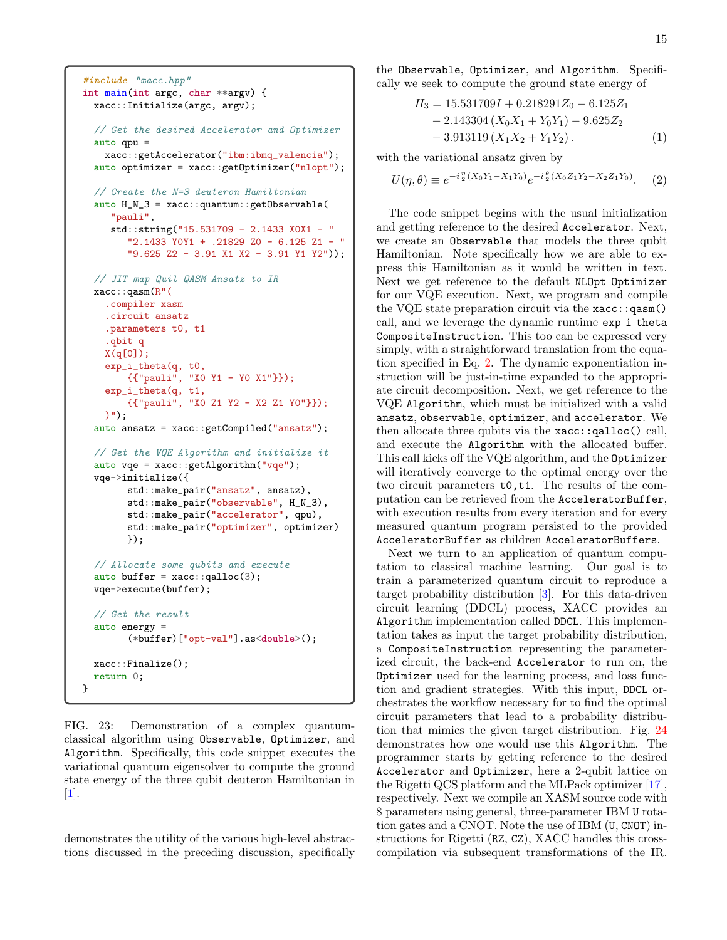```
#include "xacc.hpp"
int main(int argc, char **argv) {
 xacc::Initialize(argc, argv);
  // Get the desired Accelerator and Optimizer
  auto qpu =xacc::getAccelerator("ibm:ibmq_valencia");
  auto optimizer = xacc::getOptimizer("nlopt");
  // Create the N=3 deuteron Hamiltonian
  auto H_N_3 = xacc:: quantum:: getObservable(
     "pauli",
     std::string("15.531709 - 2.1433 X0X1 - "
        "2.1433 Y0Y1 + .21829 Z0 - 6.125 Z1 - "
        "9.625 Z2 - 3.91 X1 X2 - 3.91 Y1 Y2"));
 // JIT map Quil QASM Ansatz to IR
 xacc::qasm(R"(
    .compiler xasm
    .circuit ansatz
    .parameters t0, t1
    .qbit q
    X(q[0]);
    exp_i_theta(q, t0,
        {{"pauli", "X0 Y1 - Y0 X1"}});
    exp_i_theta(q, t1,
        {{"pauli", "X0 Z1 Y2 - X2 Z1 Y0"}});
    )");
  auto ansatz = xacc::getCompiled("ansatz");
  // Get the VQE Algorithm and initialize it
  auto vqe = xacc::getAlgorithm("vqe");vqe->initialize({
       std::make_pair("ansatz", ansatz),
       std::make_pair("observable", H_N_3),
       std::make_pair("accelerator", qpu),
       std::make_pair("optimizer", optimizer)
       });
  // Allocate some qubits and execute
  auto buffer = xacc::qalloc(3);
  vqe->execute(buffer);
  // Get the result
  auto energy =
        (*buffer)["opt-val"].as<double>();
  xacc::Finalize();
  return 0;
}
```
FIG. 23: Demonstration of a complex quantumclassical algorithm using Observable, Optimizer, and Algorithm. Specifically, this code snippet executes the variational quantum eigensolver to compute the ground state energy of the three qubit deuteron Hamiltonian in [\[1\]](#page-16-0).

demonstrates the utility of the various high-level abstractions discussed in the preceding discussion, specifically

the Observable, Optimizer, and Algorithm. Specifically we seek to compute the ground state energy of

<span id="page-14-1"></span>
$$
H_3 = 15.531709I + 0.218291Z_0 - 6.125Z_1
$$
  
- 2.143304 (X<sub>0</sub>X<sub>1</sub> + Y<sub>0</sub>Y<sub>1</sub>) - 9.625Z<sub>2</sub>  
- 3.913119 (X<sub>1</sub>X<sub>2</sub> + Y<sub>1</sub>Y<sub>2</sub>). (1)

with the variational ansatz given by

$$
U(\eta, \theta) \equiv e^{-i\frac{\eta}{2}(X_0Y_1 - X_1Y_0)}e^{-i\frac{\theta}{2}(X_0Z_1Y_2 - X_2Z_1Y_0)}.\tag{2}
$$

The code snippet begins with the usual initialization and getting reference to the desired Accelerator. Next, we create an Observable that models the three qubit Hamiltonian. Note specifically how we are able to express this Hamiltonian as it would be written in text. Next we get reference to the default NLOpt Optimizer for our VQE execution. Next, we program and compile the VQE state preparation circuit via the  $xacc::qasm()$ call, and we leverage the dynamic runtime  $exp_i$  theta CompositeInstruction. This too can be expressed very simply, with a straightforward translation from the equation specified in Eq. [2.](#page-14-1) The dynamic exponentiation instruction will be just-in-time expanded to the appropriate circuit decomposition. Next, we get reference to the VQE Algorithm, which must be initialized with a valid ansatz, observable, optimizer, and accelerator. We then allocate three qubits via the xacc::qalloc() call, and execute the Algorithm with the allocated buffer. This call kicks off the VQE algorithm, and the Optimizer will iteratively converge to the optimal energy over the two circuit parameters t0,t1. The results of the computation can be retrieved from the AcceleratorBuffer, with execution results from every iteration and for every measured quantum program persisted to the provided AcceleratorBuffer as children AcceleratorBuffers.

Next we turn to an application of quantum computation to classical machine learning. Our goal is to train a parameterized quantum circuit to reproduce a target probability distribution [\[3\]](#page-16-19). For this data-driven circuit learning (DDCL) process, XACC provides an Algorithm implementation called DDCL. This implementation takes as input the target probability distribution, a CompositeInstruction representing the parameterized circuit, the back-end Accelerator to run on, the Optimizer used for the learning process, and loss function and gradient strategies. With this input, DDCL orchestrates the workflow necessary for to find the optimal circuit parameters that lead to a probability distribution that mimics the given target distribution. Fig. [24](#page-15-1) demonstrates how one would use this Algorithm. The programmer starts by getting reference to the desired Accelerator and Optimizer, here a 2-qubit lattice on the Rigetti QCS platform and the MLPack optimizer [\[17\]](#page-16-12), respectively. Next we compile an XASM source code with 8 parameters using general, three-parameter IBM U rotation gates and a CNOT. Note the use of IBM (U, CNOT) instructions for Rigetti (RZ, CZ), XACC handles this crosscompilation via subsequent transformations of the IR.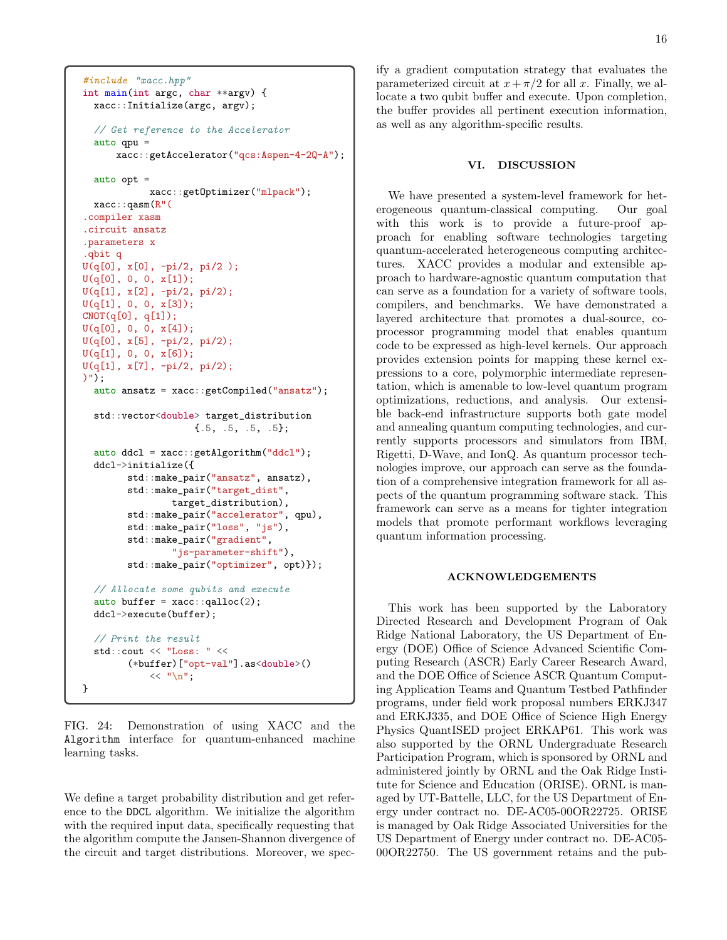```
#include "xacc.hpp"
int main(int argc, char **argv) {
 xacc::Initialize(argc, argv);
  // Get reference to the Accelerator
  auto qpu =
      xacc::getAccelerator("qcs:Aspen-4-2Q-A");
  auto opt =xacc::getOptimizer("mlpack");
 xacc::qasm(R"(
.compiler xasm
.circuit ansatz
.parameters x
.qbit q
U(q[0], x[0], -pi/2, pi/2 );
U(q[0], 0, 0, x[1]);
U(q[1], x[2], -pi/2, pi/2);
U(q[1], 0, 0, x[3]);
CNOT(q[0], q[1]);U(q[0], 0, 0, x[4]);
U(q[0], x[5], -pi/2, pi/2);U(q[1], 0, 0, x[6]);
U(q[1], x[7], -pi/2, pi/2);
)");
  auto ansatz = xacc::getCompiled("ansatz");
  std::vector<double> target_distribution
                    {.5, .5, .5, .5};
  auto ddcl = xacc::getAlgorithm("ddcl");ddcl->initialize({
        std::make_pair("ansatz", ansatz),
        std::make_pair("target_dist",
                target_distribution),
        std::make_pair("accelerator", qpu),
        std::make_pair("loss", "js"),
        std::make_pair("gradient",
                "js-parameter-shift"),
        std::make_pair("optimizer", opt)});
  // Allocate some qubits and execute
  auto buffer = xacc::qalloc(2);ddcl->execute(buffer);
  // Print the result
  std::cout << "Loss: " <<
        (*buffer)["opt-val"].as<double>()
            << "\n\overline{n}";
}
```
FIG. 24: Demonstration of using XACC and the Algorithm interface for quantum-enhanced machine learning tasks.

We define a target probability distribution and get reference to the DDCL algorithm. We initialize the algorithm with the required input data, specifically requesting that the algorithm compute the Jansen-Shannon divergence of the circuit and target distributions. Moreover, we specify a gradient computation strategy that evaluates the parameterized circuit at  $x + \pi/2$  for all x. Finally, we allocate a two qubit buffer and execute. Upon completion, the buffer provides all pertinent execution information, as well as any algorithm-specific results.

#### <span id="page-15-0"></span>VI. DISCUSSION

We have presented a system-level framework for heterogeneous quantum-classical computing. Our goal with this work is to provide a future-proof approach for enabling software technologies targeting quantum-accelerated heterogeneous computing architectures. XACC provides a modular and extensible approach to hardware-agnostic quantum computation that can serve as a foundation for a variety of software tools, compilers, and benchmarks. We have demonstrated a layered architecture that promotes a dual-source, coprocessor programming model that enables quantum code to be expressed as high-level kernels. Our approach provides extension points for mapping these kernel expressions to a core, polymorphic intermediate representation, which is amenable to low-level quantum program optimizations, reductions, and analysis. Our extensible back-end infrastructure supports both gate model and annealing quantum computing technologies, and currently supports processors and simulators from IBM, Rigetti, D-Wave, and IonQ. As quantum processor technologies improve, our approach can serve as the foundation of a comprehensive integration framework for all aspects of the quantum programming software stack. This framework can serve as a means for tighter integration models that promote performant workflows leveraging quantum information processing.

# ACKNOWLEDGEMENTS

This work has been supported by the Laboratory Directed Research and Development Program of Oak Ridge National Laboratory, the US Department of Energy (DOE) Office of Science Advanced Scientific Computing Research (ASCR) Early Career Research Award, and the DOE Office of Science ASCR Quantum Computing Application Teams and Quantum Testbed Pathfinder programs, under field work proposal numbers ERKJ347 and ERKJ335, and DOE Office of Science High Energy Physics QuantISED project ERKAP61. This work was also supported by the ORNL Undergraduate Research Participation Program, which is sponsored by ORNL and administered jointly by ORNL and the Oak Ridge Institute for Science and Education (ORISE). ORNL is managed by UT-Battelle, LLC, for the US Department of Energy under contract no. DE-AC05-00OR22725. ORISE is managed by Oak Ridge Associated Universities for the US Department of Energy under contract no. DE-AC05- 00OR22750. The US government retains and the pub